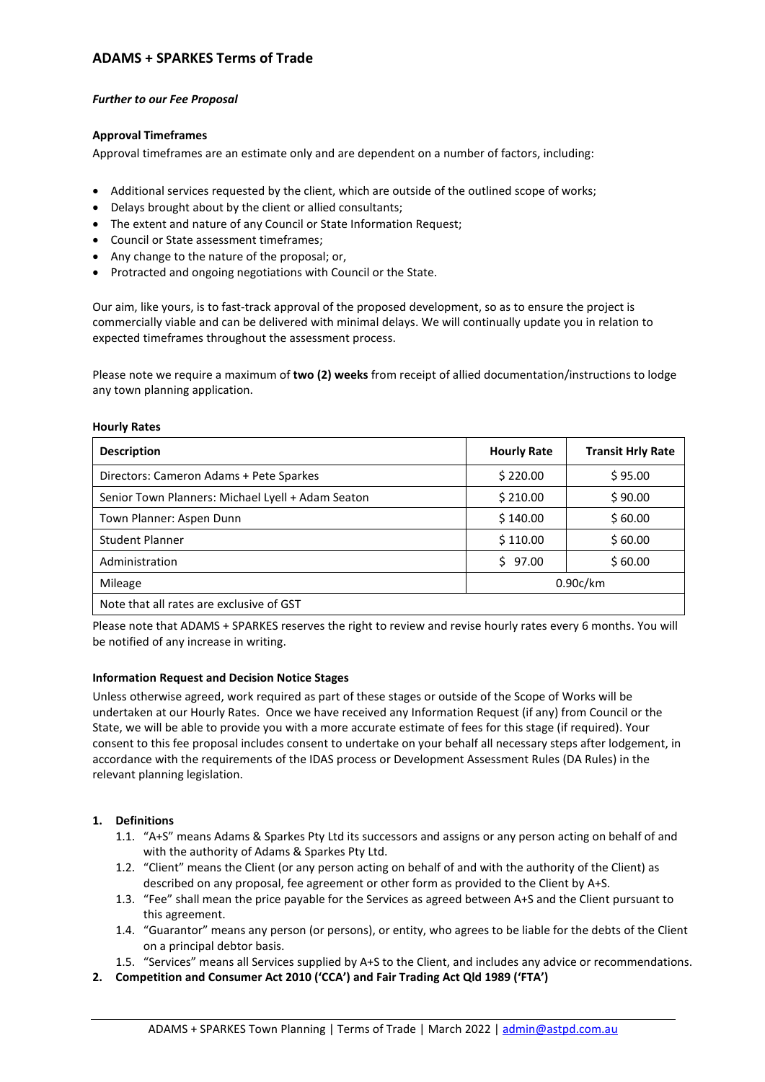# **ADAMS + SPARKES Terms of Trade**

### *Further to our Fee Proposal*

## **Approval Timeframes**

Approval timeframes are an estimate only and are dependent on a number of factors, including:

- Additional services requested by the client, which are outside of the outlined scope of works;
- Delays brought about by the client or allied consultants;
- The extent and nature of any Council or State Information Request;
- Council or State assessment timeframes;
- Any change to the nature of the proposal; or,
- Protracted and ongoing negotiations with Council or the State.

Our aim, like yours, is to fast-track approval of the proposed development, so as to ensure the project is commercially viable and can be delivered with minimal delays. We will continually update you in relation to expected timeframes throughout the assessment process.

Please note we require a maximum of **two (2) weeks** from receipt of allied documentation/instructions to lodge any town planning application.

#### **Hourly Rates**

| <b>Description</b>                                | <b>Hourly Rate</b> | <b>Transit Hrly Rate</b> |
|---------------------------------------------------|--------------------|--------------------------|
| Directors: Cameron Adams + Pete Sparkes           | \$220.00           | \$95.00                  |
| Senior Town Planners: Michael Lyell + Adam Seaton | \$210.00           | \$90.00                  |
| Town Planner: Aspen Dunn                          | \$140.00           | \$60.00                  |
| <b>Student Planner</b>                            | \$110.00           | \$60.00                  |
| Administration                                    | \$97.00            | \$60.00                  |
| Mileage                                           | 0.90c/km           |                          |
| Note that all rates are exclusive of GST          |                    |                          |

Please note that ADAMS + SPARKES reserves the right to review and revise hourly rates every 6 months. You will be notified of any increase in writing.

### **Information Request and Decision Notice Stages**

Unless otherwise agreed, work required as part of these stages or outside of the Scope of Works will be undertaken at our Hourly Rates. Once we have received any Information Request (if any) from Council or the State, we will be able to provide you with a more accurate estimate of fees for this stage (if required). Your consent to this fee proposal includes consent to undertake on your behalf all necessary steps after lodgement, in accordance with the requirements of the IDAS process or Development Assessment Rules (DA Rules) in the relevant planning legislation.

# **1. Definitions**

- 1.1. "A+S" means Adams & Sparkes Pty Ltd its successors and assigns or any person acting on behalf of and with the authority of Adams & Sparkes Pty Ltd.
- 1.2. "Client" means the Client (or any person acting on behalf of and with the authority of the Client) as described on any proposal, fee agreement or other form as provided to the Client by A+S.
- 1.3. "Fee" shall mean the price payable for the Services as agreed between A+S and the Client pursuant to this agreement.
- 1.4. "Guarantor" means any person (or persons), or entity, who agrees to be liable for the debts of the Client on a principal debtor basis.
- 1.5. "Services" means all Services supplied by A+S to the Client, and includes any advice or recommendations.
- **2. Competition and Consumer Act 2010 ('CCA') and Fair Trading Act Qld 1989 ('FTA')**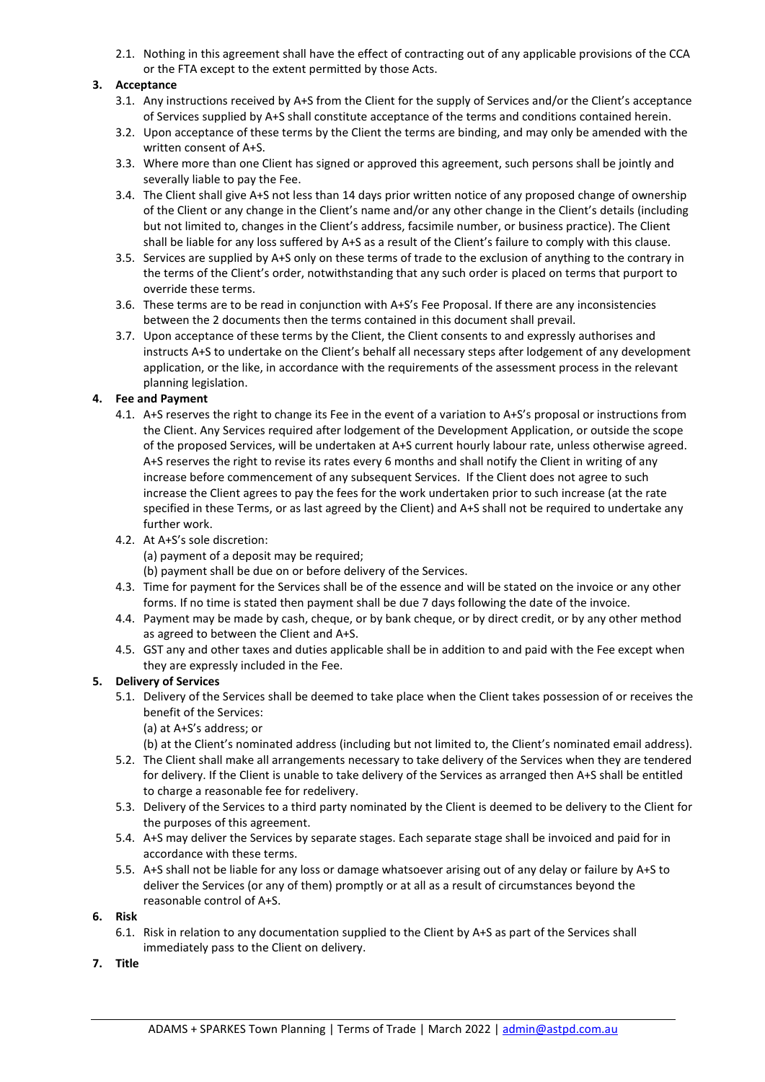2.1. Nothing in this agreement shall have the effect of contracting out of any applicable provisions of the CCA or the FTA except to the extent permitted by those Acts.

## **3. Acceptance**

- 3.1. Any instructions received by A+S from the Client for the supply of Services and/or the Client's acceptance of Services supplied by A+S shall constitute acceptance of the terms and conditions contained herein.
- 3.2. Upon acceptance of these terms by the Client the terms are binding, and may only be amended with the written consent of A+S.
- 3.3. Where more than one Client has signed or approved this agreement, such persons shall be jointly and severally liable to pay the Fee.
- 3.4. The Client shall give A+S not less than 14 days prior written notice of any proposed change of ownership of the Client or any change in the Client's name and/or any other change in the Client's details (including but not limited to, changes in the Client's address, facsimile number, or business practice). The Client shall be liable for any loss suffered by A+S as a result of the Client's failure to comply with this clause.
- 3.5. Services are supplied by A+S only on these terms of trade to the exclusion of anything to the contrary in the terms of the Client's order, notwithstanding that any such order is placed on terms that purport to override these terms.
- 3.6. These terms are to be read in conjunction with A+S's Fee Proposal. If there are any inconsistencies between the 2 documents then the terms contained in this document shall prevail.
- 3.7. Upon acceptance of these terms by the Client, the Client consents to and expressly authorises and instructs A+S to undertake on the Client's behalf all necessary steps after lodgement of any development application, or the like, in accordance with the requirements of the assessment process in the relevant planning legislation.

### **4. Fee and Payment**

- 4.1. A+S reserves the right to change its Fee in the event of a variation to A+S's proposal or instructions from the Client. Any Services required after lodgement of the Development Application, or outside the scope of the proposed Services, will be undertaken at A+S current hourly labour rate, unless otherwise agreed. A+S reserves the right to revise its rates every 6 months and shall notify the Client in writing of any increase before commencement of any subsequent Services. If the Client does not agree to such increase the Client agrees to pay the fees for the work undertaken prior to such increase (at the rate specified in these Terms, or as last agreed by the Client) and A+S shall not be required to undertake any further work.
- 4.2. At A+S's sole discretion: (a) payment of a deposit may be required; (b) payment shall be due on or before delivery of the Services.
- 4.3. Time for payment for the Services shall be of the essence and will be stated on the invoice or any other forms. If no time is stated then payment shall be due 7 days following the date of the invoice.
- 4.4. Payment may be made by cash, cheque, or by bank cheque, or by direct credit, or by any other method as agreed to between the Client and A+S.
- 4.5. GST any and other taxes and duties applicable shall be in addition to and paid with the Fee except when they are expressly included in the Fee.

### **5. Delivery of Services**

- 5.1. Delivery of the Services shall be deemed to take place when the Client takes possession of or receives the benefit of the Services:
	- (a) at A+S's address; or

(b) at the Client's nominated address (including but not limited to, the Client's nominated email address).

- 5.2. The Client shall make all arrangements necessary to take delivery of the Services when they are tendered for delivery. If the Client is unable to take delivery of the Services as arranged then A+S shall be entitled to charge a reasonable fee for redelivery.
- 5.3. Delivery of the Services to a third party nominated by the Client is deemed to be delivery to the Client for the purposes of this agreement.
- 5.4. A+S may deliver the Services by separate stages. Each separate stage shall be invoiced and paid for in accordance with these terms.
- 5.5. A+S shall not be liable for any loss or damage whatsoever arising out of any delay or failure by A+S to deliver the Services (or any of them) promptly or at all as a result of circumstances beyond the reasonable control of A+S.
- **6. Risk**
	- 6.1. Risk in relation to any documentation supplied to the Client by A+S as part of the Services shall immediately pass to the Client on delivery.
- **7. Title**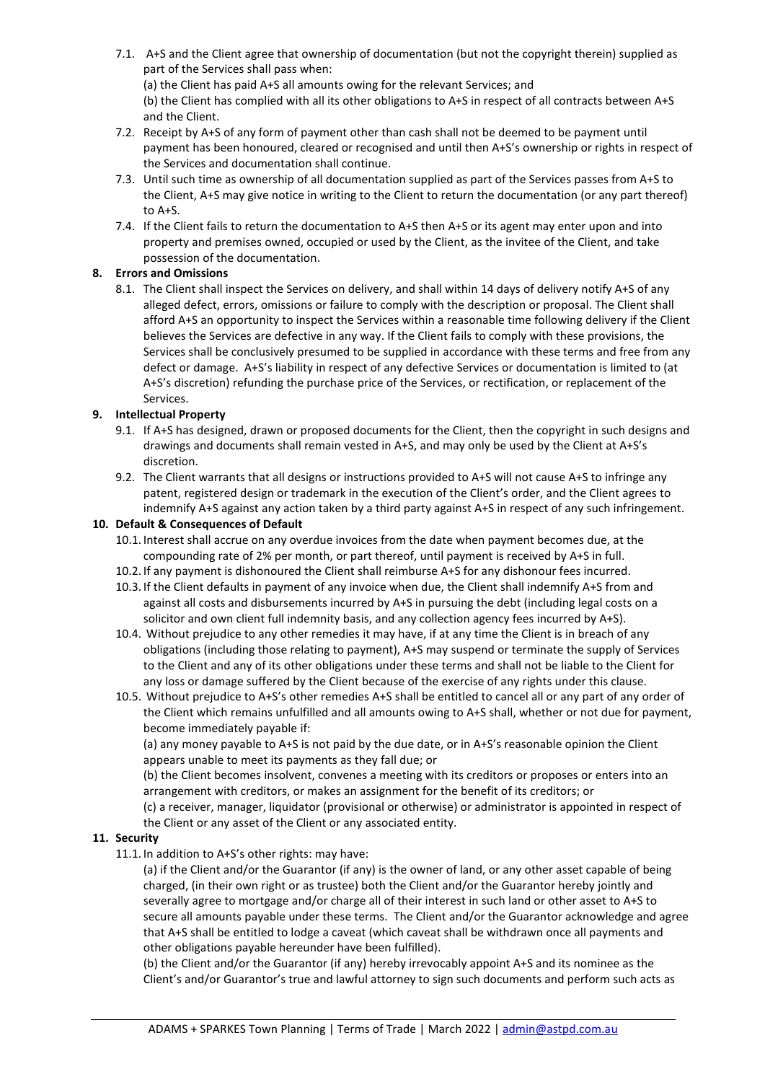- 7.1. A+S and the Client agree that ownership of documentation (but not the copyright therein) supplied as part of the Services shall pass when: (a) the Client has paid A+S all amounts owing for the relevant Services; and (b) the Client has complied with all its other obligations to A+S in respect of all contracts between A+S and the Client.
- 7.2. Receipt by A+S of any form of payment other than cash shall not be deemed to be payment until payment has been honoured, cleared or recognised and until then A+S's ownership or rights in respect of the Services and documentation shall continue.
- 7.3. Until such time as ownership of all documentation supplied as part of the Services passes from A+S to the Client, A+S may give notice in writing to the Client to return the documentation (or any part thereof) to A+S.
- 7.4. If the Client fails to return the documentation to A+S then A+S or its agent may enter upon and into property and premises owned, occupied or used by the Client, as the invitee of the Client, and take possession of the documentation.

# **8. Errors and Omissions**

8.1. The Client shall inspect the Services on delivery, and shall within 14 days of delivery notify A+S of any alleged defect, errors, omissions or failure to comply with the description or proposal. The Client shall afford A+S an opportunity to inspect the Services within a reasonable time following delivery if the Client believes the Services are defective in any way. If the Client fails to comply with these provisions, the Services shall be conclusively presumed to be supplied in accordance with these terms and free from any defect or damage. A+S's liability in respect of any defective Services or documentation is limited to (at A+S's discretion) refunding the purchase price of the Services, or rectification, or replacement of the Services.

# **9. Intellectual Property**

- 9.1. If A+S has designed, drawn or proposed documents for the Client, then the copyright in such designs and drawings and documents shall remain vested in A+S, and may only be used by the Client at A+S's discretion.
- 9.2. The Client warrants that all designs or instructions provided to A+S will not cause A+S to infringe any patent, registered design or trademark in the execution of the Client's order, and the Client agrees to indemnify A+S against any action taken by a third party against A+S in respect of any such infringement.

## **10. Default & Consequences of Default**

- 10.1. Interest shall accrue on any overdue invoices from the date when payment becomes due, at the compounding rate of 2% per month, or part thereof, until payment is received by A+S in full.
- 10.2. If any payment is dishonoured the Client shall reimburse A+S for any dishonour fees incurred.
- 10.3. If the Client defaults in payment of any invoice when due, the Client shall indemnify A+S from and against all costs and disbursements incurred by A+S in pursuing the debt (including legal costs on a solicitor and own client full indemnity basis, and any collection agency fees incurred by A+S).
- 10.4. Without prejudice to any other remedies it may have, if at any time the Client is in breach of any obligations (including those relating to payment), A+S may suspend or terminate the supply of Services to the Client and any of its other obligations under these terms and shall not be liable to the Client for any loss or damage suffered by the Client because of the exercise of any rights under this clause.
- 10.5. Without prejudice to A+S's other remedies A+S shall be entitled to cancel all or any part of any order of the Client which remains unfulfilled and all amounts owing to A+S shall, whether or not due for payment, become immediately payable if:

(a) any money payable to A+S is not paid by the due date, or in A+S's reasonable opinion the Client appears unable to meet its payments as they fall due; or

(b) the Client becomes insolvent, convenes a meeting with its creditors or proposes or enters into an arrangement with creditors, or makes an assignment for the benefit of its creditors; or

(c) a receiver, manager, liquidator (provisional or otherwise) or administrator is appointed in respect of the Client or any asset of the Client or any associated entity.

# **11. Security**

11.1. In addition to A+S's other rights: may have:

(a) if the Client and/or the Guarantor (if any) is the owner of land, or any other asset capable of being charged, (in their own right or as trustee) both the Client and/or the Guarantor hereby jointly and severally agree to mortgage and/or charge all of their interest in such land or other asset to A+S to secure all amounts payable under these terms. The Client and/or the Guarantor acknowledge and agree that A+S shall be entitled to lodge a caveat (which caveat shall be withdrawn once all payments and other obligations payable hereunder have been fulfilled).

(b) the Client and/or the Guarantor (if any) hereby irrevocably appoint A+S and its nominee as the Client's and/or Guarantor's true and lawful attorney to sign such documents and perform such acts as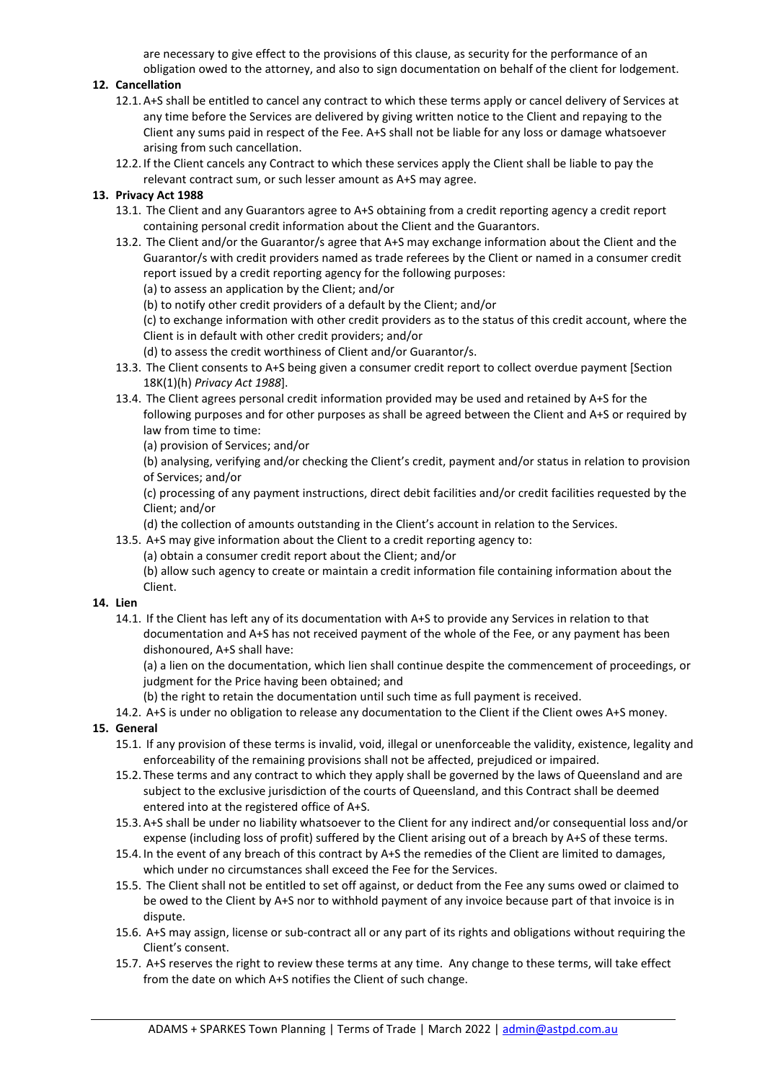are necessary to give effect to the provisions of this clause, as security for the performance of an obligation owed to the attorney, and also to sign documentation on behalf of the client for lodgement.

# **12. Cancellation**

- 12.1. A+S shall be entitled to cancel any contract to which these terms apply or cancel delivery of Services at any time before the Services are delivered by giving written notice to the Client and repaying to the Client any sums paid in respect of the Fee. A+S shall not be liable for any loss or damage whatsoever arising from such cancellation.
- 12.2. If the Client cancels any Contract to which these services apply the Client shall be liable to pay the relevant contract sum, or such lesser amount as A+S may agree.

## **13. Privacy Act 1988**

- 13.1. The Client and any Guarantors agree to A+S obtaining from a credit reporting agency a credit report containing personal credit information about the Client and the Guarantors.
- 13.2. The Client and/or the Guarantor/s agree that A+S may exchange information about the Client and the Guarantor/s with credit providers named as trade referees by the Client or named in a consumer credit report issued by a credit reporting agency for the following purposes:
	- (a) to assess an application by the Client; and/or
	- (b) to notify other credit providers of a default by the Client; and/or

(c) to exchange information with other credit providers as to the status of this credit account, where the Client is in default with other credit providers; and/or

- (d) to assess the credit worthiness of Client and/or Guarantor/s.
- 13.3. The Client consents to A+S being given a consumer credit report to collect overdue payment [Section 18K(1)(h) *Privacy Act 1988*].
- 13.4. The Client agrees personal credit information provided may be used and retained by A+S for the following purposes and for other purposes as shall be agreed between the Client and A+S or required by law from time to time:
	- (a) provision of Services; and/or

(b) analysing, verifying and/or checking the Client's credit, payment and/or status in relation to provision of Services; and/or

(c) processing of any payment instructions, direct debit facilities and/or credit facilities requested by the Client; and/or

- (d) the collection of amounts outstanding in the Client's account in relation to the Services.
- 13.5. A+S may give information about the Client to a credit reporting agency to:

(a) obtain a consumer credit report about the Client; and/or

(b) allow such agency to create or maintain a credit information file containing information about the Client.

## **14. Lien**

14.1. If the Client has left any of its documentation with A+S to provide any Services in relation to that documentation and A+S has not received payment of the whole of the Fee, or any payment has been dishonoured, A+S shall have:

(a) a lien on the documentation, which lien shall continue despite the commencement of proceedings, or judgment for the Price having been obtained; and

- (b) the right to retain the documentation until such time as full payment is received.
- 14.2. A+S is under no obligation to release any documentation to the Client if the Client owes A+S money.

# **15. General**

- 15.1. If any provision of these terms is invalid, void, illegal or unenforceable the validity, existence, legality and enforceability of the remaining provisions shall not be affected, prejudiced or impaired.
- 15.2. These terms and any contract to which they apply shall be governed by the laws of Queensland and are subject to the exclusive jurisdiction of the courts of Queensland, and this Contract shall be deemed entered into at the registered office of A+S.
- 15.3. A+S shall be under no liability whatsoever to the Client for any indirect and/or consequential loss and/or expense (including loss of profit) suffered by the Client arising out of a breach by A+S of these terms.
- 15.4. In the event of any breach of this contract by A+S the remedies of the Client are limited to damages, which under no circumstances shall exceed the Fee for the Services.
- 15.5. The Client shall not be entitled to set off against, or deduct from the Fee any sums owed or claimed to be owed to the Client by A+S nor to withhold payment of any invoice because part of that invoice is in dispute.
- 15.6. A+S may assign, license or sub-contract all or any part of its rights and obligations without requiring the Client's consent.
- 15.7. A+S reserves the right to review these terms at any time. Any change to these terms, will take effect from the date on which A+S notifies the Client of such change.